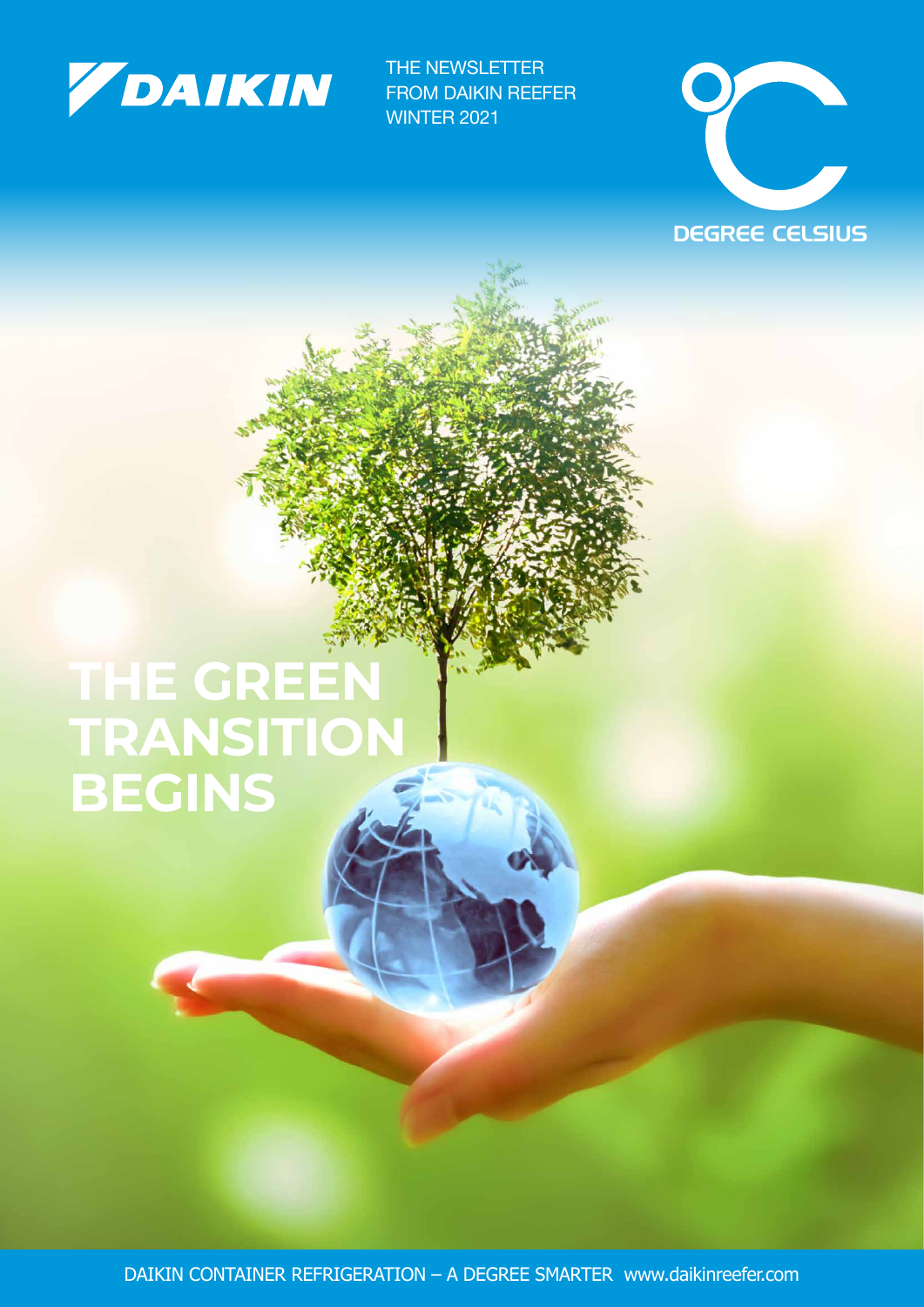

THE NEWSLETTER FROM DAIKIN REEFER WINTER 2021



### **THE GREEN TRANSITION BEGINS**

DAIKIN CONTAINER REFRIGERATION – A DEGREE SMARTER www.daikinreefer.com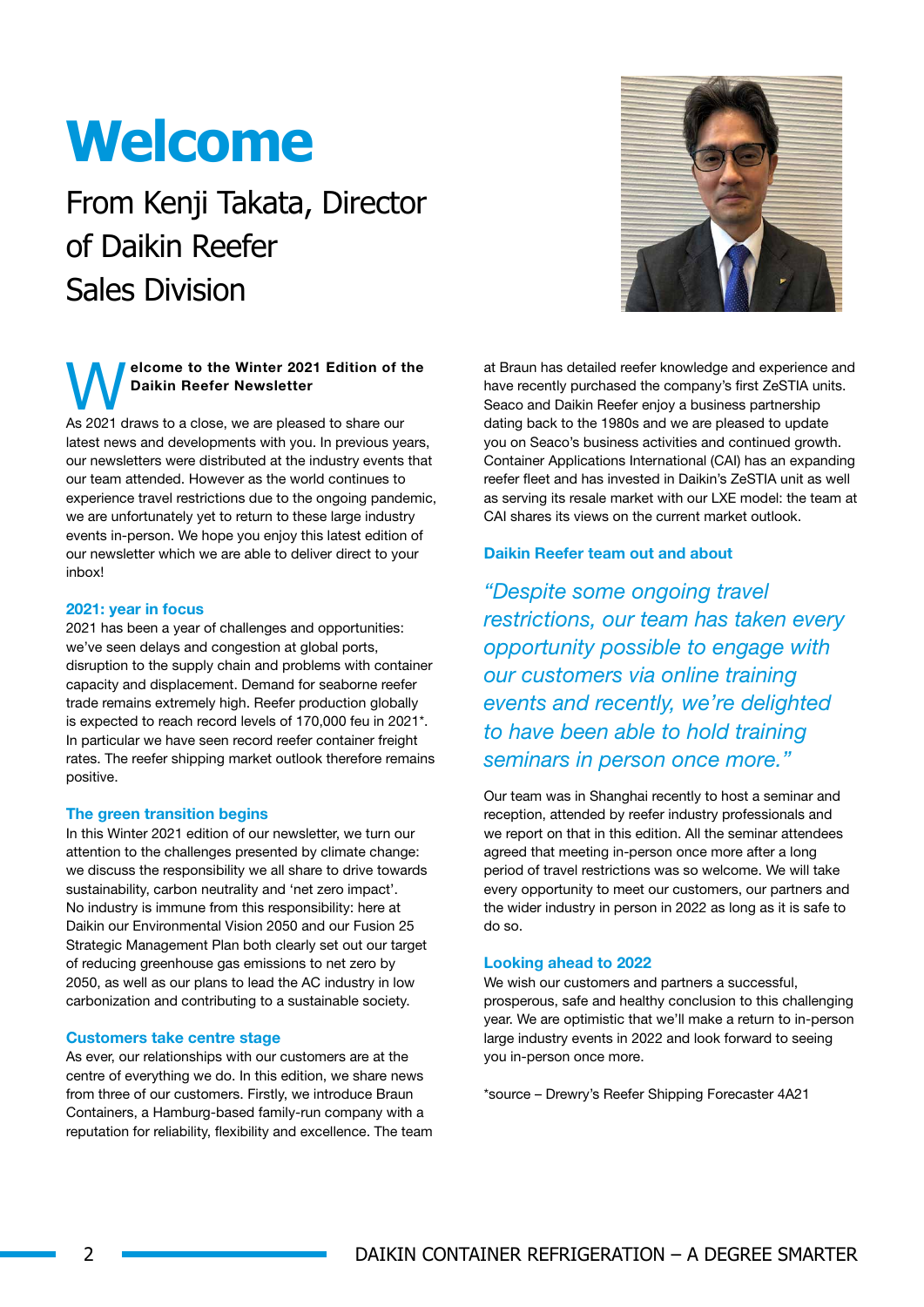### **Welcome**

### From Kenji Takata, Director of Daikin Reefer Sales Division

### elcome to the Winter 2021 Edition of the Daikin Reefer Newsletter

As 2021 draws to a close, we are pleased to share our latest news and developments with you. In previous years, our newsletters were distributed at the industry events that our team attended. However as the world continues to experience travel restrictions due to the ongoing pandemic, we are unfortunately yet to return to these large industry events in-person. We hope you enjoy this latest edition of our newsletter which we are able to deliver direct to your inbox!

#### 2021: year in focus

2021 has been a year of challenges and opportunities: we've seen delays and congestion at global ports, disruption to the supply chain and problems with container capacity and displacement. Demand for seaborne reefer trade remains extremely high. Reefer production globally is expected to reach record levels of 170,000 feu in 2021\*. In particular we have seen record reefer container freight rates. The reefer shipping market outlook therefore remains positive.

#### The green transition begins

In this Winter 2021 edition of our newsletter, we turn our attention to the challenges presented by climate change: we discuss the responsibility we all share to drive towards sustainability, carbon neutrality and 'net zero impact'. No industry is immune from this responsibility: here at Daikin our Environmental Vision 2050 and our Fusion 25 Strategic Management Plan both clearly set out our target of reducing greenhouse gas emissions to net zero by 2050, as well as our plans to lead the AC industry in low carbonization and contributing to a sustainable society.

#### Customers take centre stage

As ever, our relationships with our customers are at the centre of everything we do. In this edition, we share news from three of our customers. Firstly, we introduce Braun Containers, a Hamburg-based family-run company with a reputation for reliability, flexibility and excellence. The team at Braun has detailed reefer knowledge and experience and have recently purchased the company's first ZeSTIA units. Seaco and Daikin Reefer enjoy a business partnership dating back to the 1980s and we are pleased to update you on Seaco's business activities and continued growth. Container Applications International (CAI) has an expanding reefer fleet and has invested in Daikin's ZeSTIA unit as well as serving its resale market with our LXE model: the team at CAI shares its views on the current market outlook

#### Daikin Reefer team out and about

*"Despite some ongoing travel restrictions, our team has taken every opportunity possible to engage with our customers via online training events and recently, we're delighted to have been able to hold training seminars in person once more."*

Our team was in Shanghai recently to host a seminar and reception, attended by reefer industry professionals and we report on that in this edition. All the seminar attendees agreed that meeting in-person once more after a long period of travel restrictions was so welcome. We will take every opportunity to meet our customers, our partners and the wider industry in person in 2022 as long as it is safe to do so.

#### Looking ahead to 2022

We wish our customers and partners a successful, prosperous, safe and healthy conclusion to this challenging year. We are optimistic that we'll make a return to in-person large industry events in 2022 and look forward to seeing you in-person once more.

\*source – Drewry's Reefer Shipping Forecaster 4A21

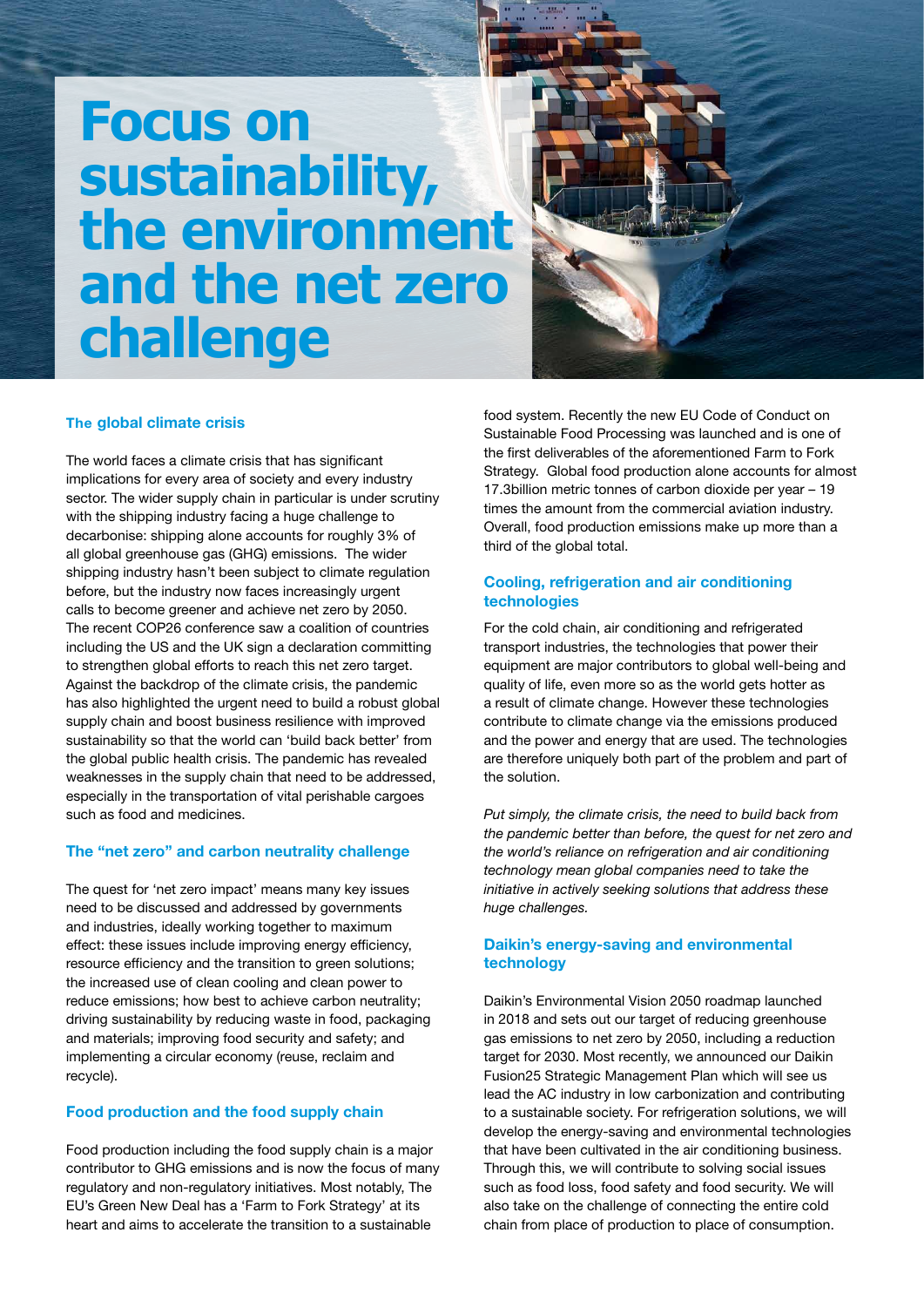### **Focus on sustainability, the environment and the net zero challenge**



#### The global climate crisis

The world faces a climate crisis that has significant implications for every area of society and every industry sector. The wider supply chain in particular is under scrutiny with the shipping industry facing a huge challenge to decarbonise: shipping alone accounts for roughly 3% of all global greenhouse gas (GHG) emissions. The wider shipping industry hasn't been subject to climate regulation before, but the industry now faces increasingly urgent calls to become greener and achieve net zero by 2050. The recent COP26 conference saw a coalition of countries including the US and the UK sign a declaration committing to strengthen global efforts to reach this net zero target. Against the backdrop of the climate crisis, the pandemic has also highlighted the urgent need to build a robust global supply chain and boost business resilience with improved sustainability so that the world can 'build back better' from the global public health crisis. The pandemic has revealed weaknesses in the supply chain that need to be addressed, especially in the transportation of vital perishable cargoes such as food and medicines.

#### The "net zero" and carbon neutrality challenge

The quest for 'net zero impact' means many key issues need to be discussed and addressed by governments and industries, ideally working together to maximum effect: these issues include improving energy efficiency, resource efficiency and the transition to green solutions; the increased use of clean cooling and clean power to reduce emissions; how best to achieve carbon neutrality; driving sustainability by reducing waste in food, packaging and materials; improving food security and safety; and implementing a circular economy (reuse, reclaim and recycle).

#### Food production and the food supply chain

Food production including the food supply chain is a major contributor to GHG emissions and is now the focus of many regulatory and non-regulatory initiatives. Most notably, The EU's Green New Deal has a 'Farm to Fork Strategy' at its heart and aims to accelerate the transition to a sustainable

food system. Recently the new EU Code of Conduct on Sustainable Food Processing was launched and is one of the first deliverables of the aforementioned Farm to Fork Strategy. Global food production alone accounts for almost 17.3billion metric tonnes of carbon dioxide per year – 19 times the amount from the commercial aviation industry. Overall, food production emissions make up more than a third of the global total.

#### Cooling, refrigeration and air conditioning technologies

For the cold chain, air conditioning and refrigerated transport industries, the technologies that power their equipment are major contributors to global well-being and quality of life, even more so as the world gets hotter as a result of climate change. However these technologies contribute to climate change via the emissions produced and the power and energy that are used. The technologies are therefore uniquely both part of the problem and part of the solution.

*Put simply, the climate crisis, the need to build back from the pandemic better than before, the quest for net zero and the world's reliance on refrigeration and air conditioning technology mean global companies need to take the initiative in actively seeking solutions that address these huge challenges.* 

#### Daikin's energy-saving and environmental technology

Daikin's Environmental Vision 2050 roadmap launched in 2018 and sets out our target of reducing greenhouse gas emissions to net zero by 2050, including a reduction target for 2030. Most recently, we announced our Daikin Fusion25 Strategic Management Plan which will see us lead the AC industry in low carbonization and contributing to a sustainable society. For refrigeration solutions, we will develop the energy-saving and environmental technologies that have been cultivated in the air conditioning business. Through this, we will contribute to solving social issues such as food loss, food safety and food security. We will also take on the challenge of connecting the entire cold chain from place of production to place of consumption.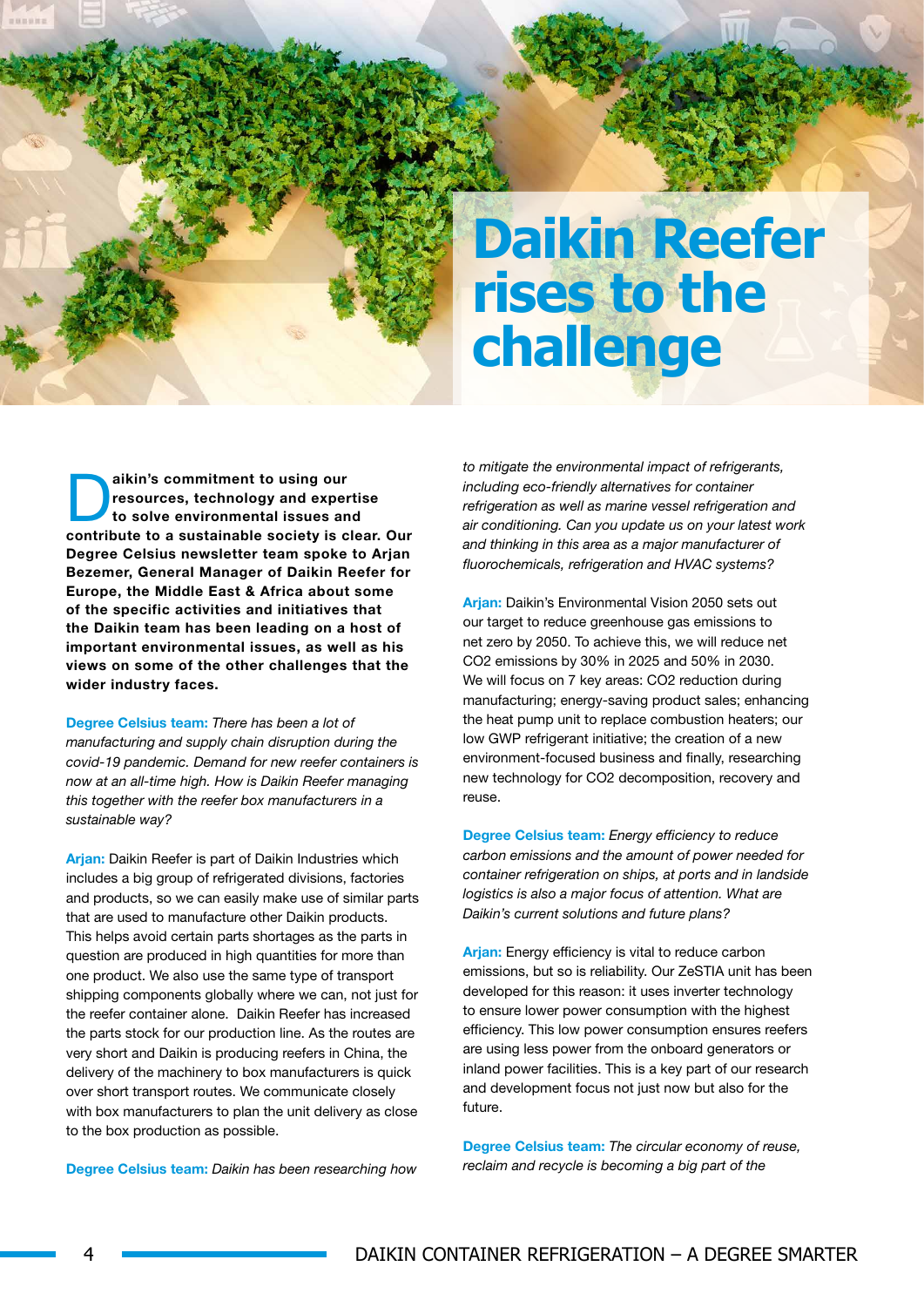### **Daikin Reefer rises to the challenge**

aikin's commitment to using our<br>resources, technology and exper<br>to solve environmental issues an resources, technology and expertise to solve environmental issues and contribute to a sustainable society is clear. Our Degree Celsius newsletter team spoke to Arjan Bezemer, General Manager of Daikin Reefer for Europe, the Middle East & Africa about some of the specific activities and initiatives that the Daikin team has been leading on a host of important environmental issues, as well as his views on some of the other challenges that the wider industry faces.

Degree Celsius team: *There has been a lot of manufacturing and supply chain disruption during the covid-19 pandemic. Demand for new reefer containers is now at an all-time high. How is Daikin Reefer managing this together with the reefer box manufacturers in a sustainable way?*

Arian: Daikin Reefer is part of Daikin Industries which includes a big group of refrigerated divisions, factories and products, so we can easily make use of similar parts that are used to manufacture other Daikin products. This helps avoid certain parts shortages as the parts in question are produced in high quantities for more than one product. We also use the same type of transport shipping components globally where we can, not just for the reefer container alone. Daikin Reefer has increased the parts stock for our production line. As the routes are very short and Daikin is producing reefers in China, the delivery of the machinery to box manufacturers is quick over short transport routes. We communicate closely with box manufacturers to plan the unit delivery as close to the box production as possible.

Degree Celsius team: *Daikin has been researching how* 

*to mitigate the environmental impact of refrigerants, including eco-friendly alternatives for container refrigeration as well as marine vessel refrigeration and air conditioning. Can you update us on your latest work and thinking in this area as a major manufacturer of fluorochemicals, refrigeration and HVAC systems?*

Arian: Daikin's Environmental Vision 2050 sets out our target to reduce greenhouse gas emissions to net zero by 2050. To achieve this, we will reduce net CO2 emissions by 30% in 2025 and 50% in 2030. We will focus on 7 key areas: CO2 reduction during manufacturing; energy-saving product sales; enhancing the heat pump unit to replace combustion heaters; our low GWP refrigerant initiative; the creation of a new environment-focused business and finally, researching new technology for CO2 decomposition, recovery and reuse.

Degree Celsius team: *Energy efficiency to reduce carbon emissions and the amount of power needed for container refrigeration on ships, at ports and in landside logistics is also a major focus of attention. What are Daikin's current solutions and future plans?*

Arjan: Energy efficiency is vital to reduce carbon emissions, but so is reliability. Our ZeSTIA unit has been developed for this reason: it uses inverter technology to ensure lower power consumption with the highest efficiency. This low power consumption ensures reefers are using less power from the onboard generators or inland power facilities. This is a key part of our research and development focus not just now but also for the future.

Degree Celsius team: *The circular economy of reuse, reclaim and recycle is becoming a big part of the*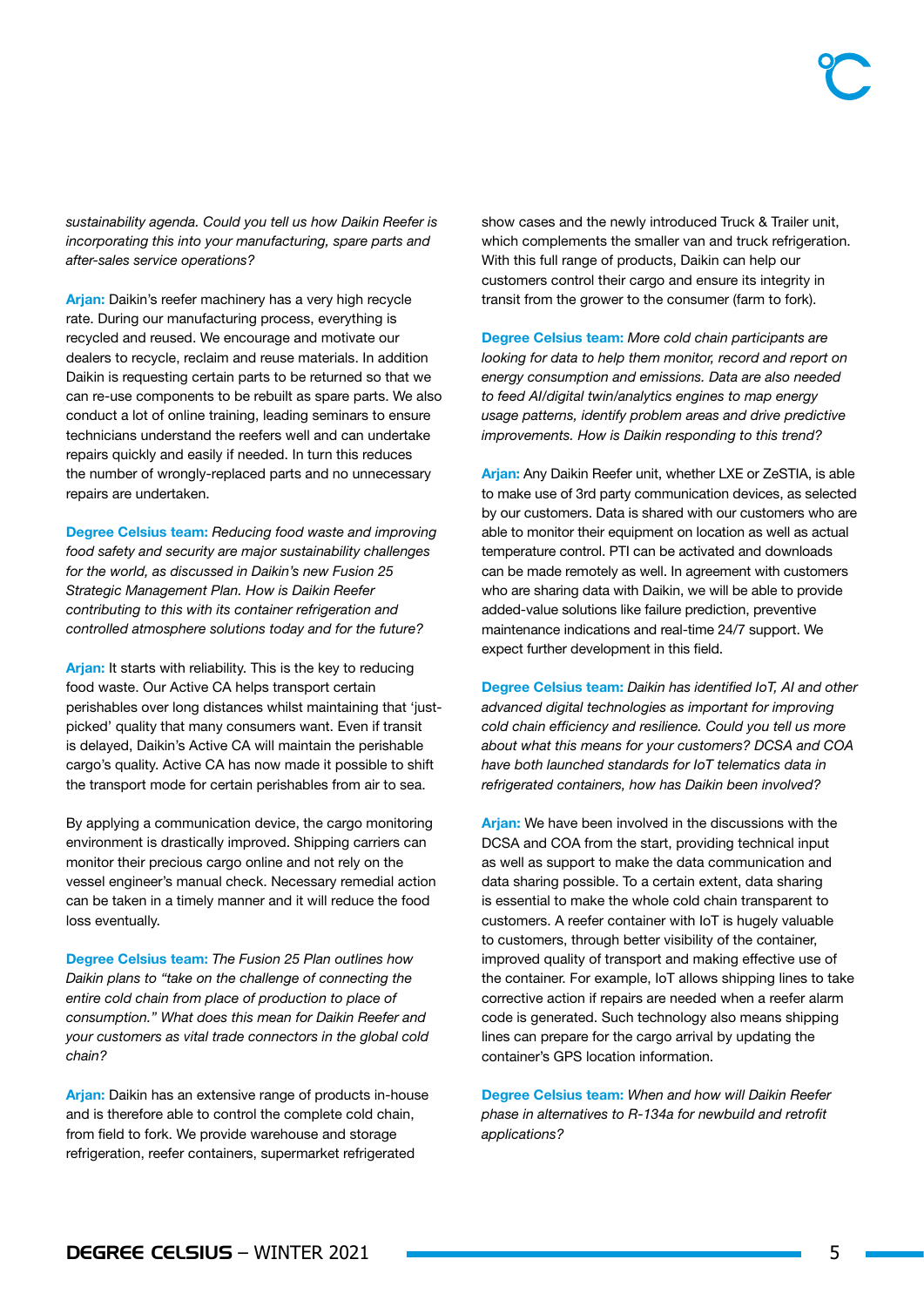*sustainability agenda. Could you tell us how Daikin Reefer is incorporating this into your manufacturing, spare parts and after-sales service operations?*

Arjan: Daikin's reefer machinery has a very high recycle rate. During our manufacturing process, everything is recycled and reused. We encourage and motivate our dealers to recycle, reclaim and reuse materials. In addition Daikin is requesting certain parts to be returned so that we can re-use components to be rebuilt as spare parts. We also conduct a lot of online training, leading seminars to ensure technicians understand the reefers well and can undertake repairs quickly and easily if needed. In turn this reduces the number of wrongly-replaced parts and no unnecessary repairs are undertaken.

Degree Celsius team: *Reducing food waste and improving food safety and security are major sustainability challenges for the world, as discussed in Daikin's new Fusion 25 Strategic Management Plan. How is Daikin Reefer contributing to this with its container refrigeration and controlled atmosphere solutions today and for the future?*

Arjan: It starts with reliability. This is the key to reducing food waste. Our Active CA helps transport certain perishables over long distances whilst maintaining that 'justpicked' quality that many consumers want. Even if transit is delayed, Daikin's Active CA will maintain the perishable cargo's quality. Active CA has now made it possible to shift the transport mode for certain perishables from air to sea.

By applying a communication device, the cargo monitoring environment is drastically improved. Shipping carriers can monitor their precious cargo online and not rely on the vessel engineer's manual check. Necessary remedial action can be taken in a timely manner and it will reduce the food loss eventually.

Degree Celsius team: *The Fusion 25 Plan outlines how Daikin plans to "take on the challenge of connecting the entire cold chain from place of production to place of consumption." What does this mean for Daikin Reefer and your customers as vital trade connectors in the global cold chain?*

Arjan: Daikin has an extensive range of products in-house and is therefore able to control the complete cold chain, from field to fork. We provide warehouse and storage refrigeration, reefer containers, supermarket refrigerated

show cases and the newly introduced Truck & Trailer unit, which complements the smaller van and truck refrigeration. With this full range of products, Daikin can help our customers control their cargo and ensure its integrity in transit from the grower to the consumer (farm to fork).

Degree Celsius team: *More cold chain participants are looking for data to help them monitor, record and report on energy consumption and emissions. Data are also needed to feed AI/digital twin/analytics engines to map energy usage patterns, identify problem areas and drive predictive improvements. How is Daikin responding to this trend?*

Arjan: Any Daikin Reefer unit, whether LXE or ZeSTIA, is able to make use of 3rd party communication devices, as selected by our customers. Data is shared with our customers who are able to monitor their equipment on location as well as actual temperature control. PTI can be activated and downloads can be made remotely as well. In agreement with customers who are sharing data with Daikin, we will be able to provide added-value solutions like failure prediction, preventive maintenance indications and real-time 24/7 support. We expect further development in this field.

Degree Celsius team: *Daikin has identified IoT, AI and other advanced digital technologies as important for improving cold chain efficiency and resilience. Could you tell us more about what this means for your customers? DCSA and COA have both launched standards for IoT telematics data in refrigerated containers, how has Daikin been involved?*

Arjan: We have been involved in the discussions with the DCSA and COA from the start, providing technical input as well as support to make the data communication and data sharing possible. To a certain extent, data sharing is essential to make the whole cold chain transparent to customers. A reefer container with IoT is hugely valuable to customers, through better visibility of the container, improved quality of transport and making effective use of the container. For example, IoT allows shipping lines to take corrective action if repairs are needed when a reefer alarm code is generated. Such technology also means shipping lines can prepare for the cargo arrival by updating the container's GPS location information.

Degree Celsius team: *When and how will Daikin Reefer phase in alternatives to R-134a for newbuild and retrofit applications?*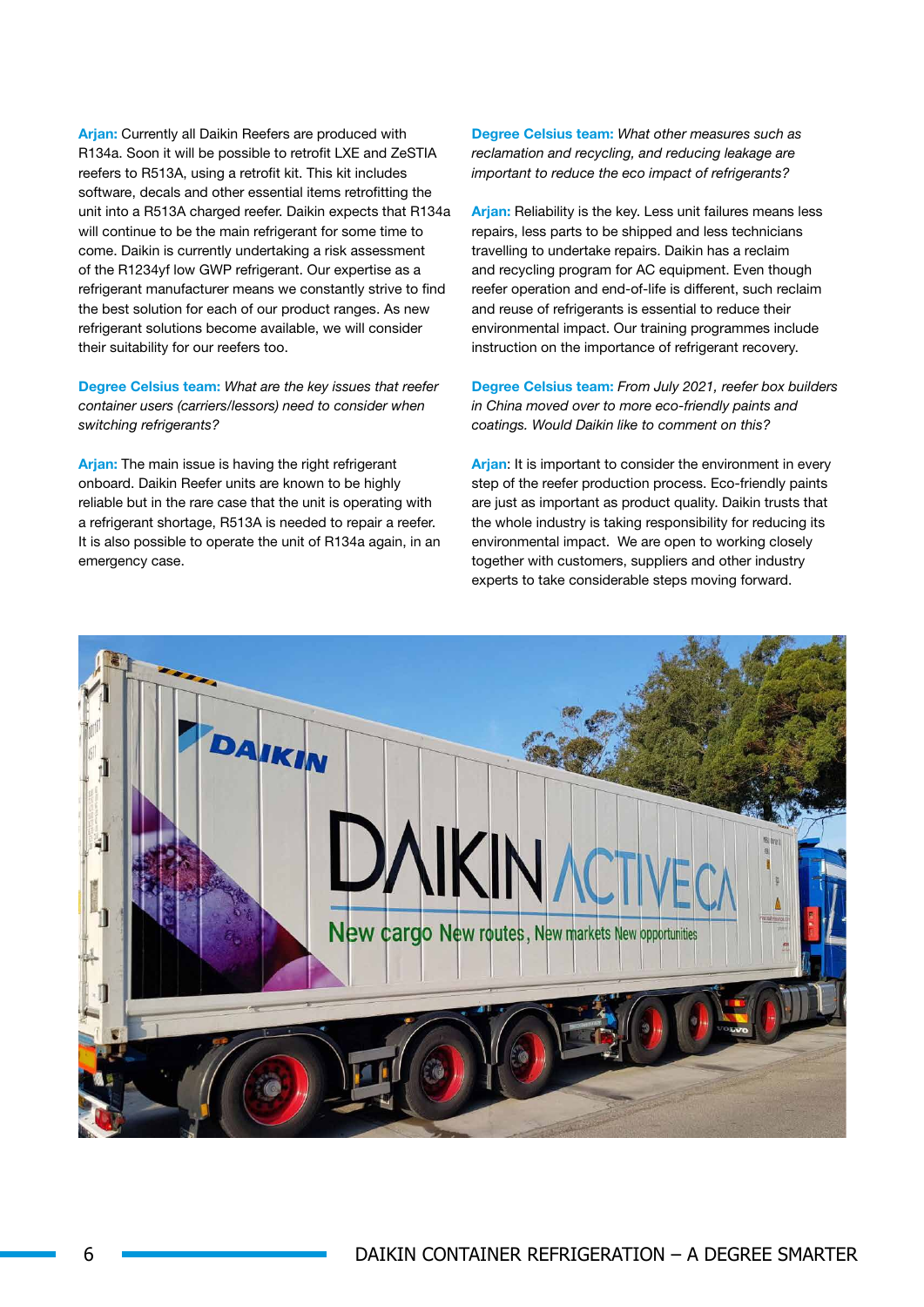Arjan: Currently all Daikin Reefers are produced with R134a. Soon it will be possible to retrofit LXE and ZeSTIA reefers to R513A, using a retrofit kit. This kit includes software, decals and other essential items retrofitting the unit into a R513A charged reefer. Daikin expects that R134a will continue to be the main refrigerant for some time to come. Daikin is currently undertaking a risk assessment of the R1234yf low GWP refrigerant. Our expertise as a refrigerant manufacturer means we constantly strive to find the best solution for each of our product ranges. As new refrigerant solutions become available, we will consider their suitability for our reefers too.

Degree Celsius team: *What are the key issues that reefer container users (carriers/lessors) need to consider when switching refrigerants?* 

Arjan: The main issue is having the right refrigerant onboard. Daikin Reefer units are known to be highly reliable but in the rare case that the unit is operating with a refrigerant shortage, R513A is needed to repair a reefer. It is also possible to operate the unit of R134a again, in an emergency case.

Degree Celsius team: *What other measures such as reclamation and recycling, and reducing leakage are important to reduce the eco impact of refrigerants?*

Arjan: Reliability is the key. Less unit failures means less repairs, less parts to be shipped and less technicians travelling to undertake repairs. Daikin has a reclaim and recycling program for AC equipment. Even though reefer operation and end-of-life is different, such reclaim and reuse of refrigerants is essential to reduce their environmental impact. Our training programmes include instruction on the importance of refrigerant recovery.

Degree Celsius team: *From July 2021, reefer box builders in China moved over to more eco-friendly paints and coatings. Would Daikin like to comment on this?*

Arjan: It is important to consider the environment in every step of the reefer production process. Eco-friendly paints are just as important as product quality. Daikin trusts that the whole industry is taking responsibility for reducing its environmental impact. We are open to working closely together with customers, suppliers and other industry experts to take considerable steps moving forward.

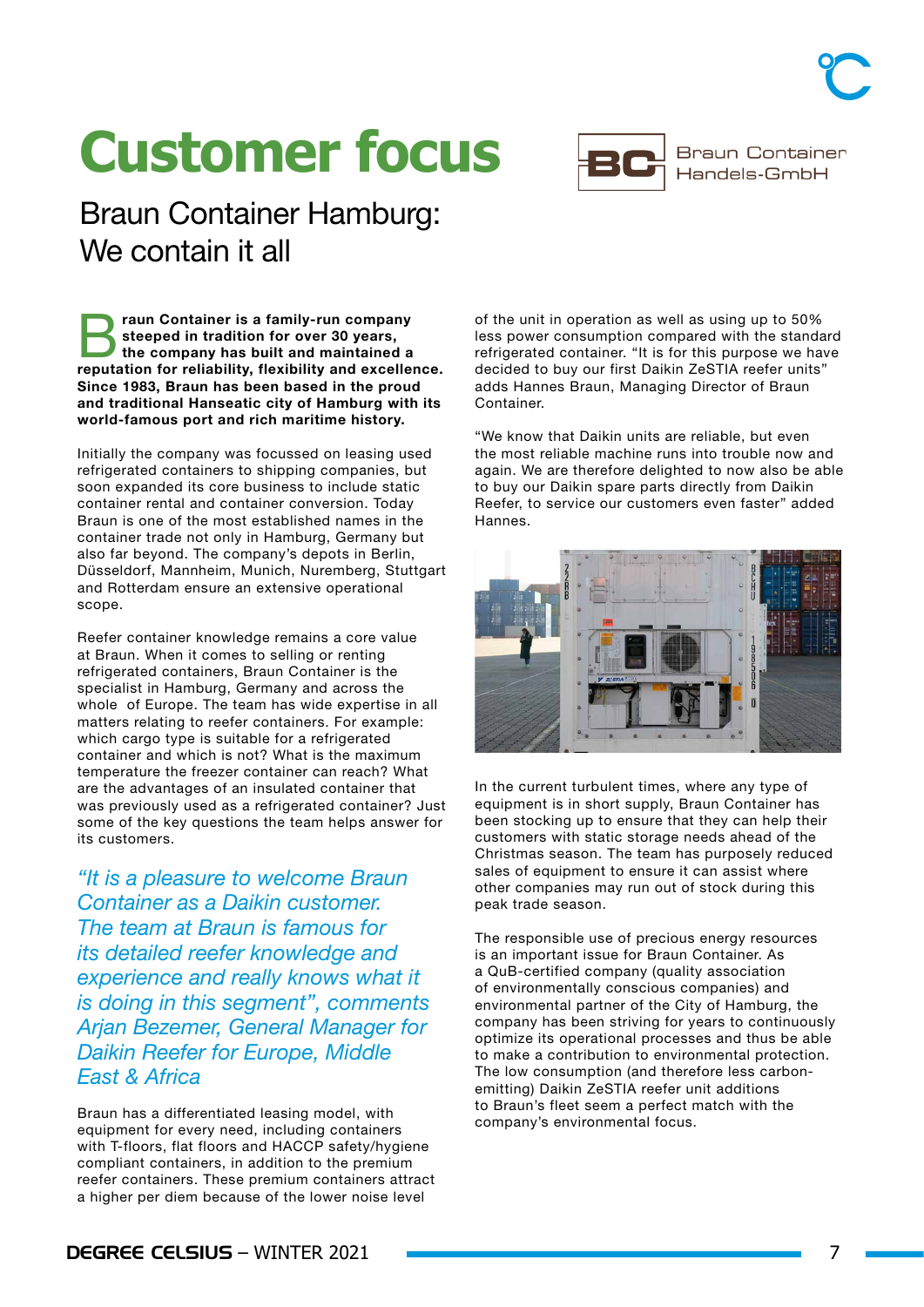## **Customer focus**

Braun Container Hamburg: We contain it all

**Example 13 State Container is a family-run company steeped in tradition for over 30 years,**<br>the company has built and maintained a<br>requirement for a plickility flavibility and excellent steeped in tradition for over 30 years, reputation for reliability, flexibility and excellence. Since 1983, Braun has been based in the proud and traditional Hanseatic city of Hamburg with its world-famous port and rich maritime history.

Initially the company was focussed on leasing used refrigerated containers to shipping companies, but soon expanded its core business to include static container rental and container conversion. Today Braun is one of the most established names in the container trade not only in Hamburg, Germany but also far beyond. The company's depots in Berlin, Düsseldorf, Mannheim, Munich, Nuremberg, Stuttgart and Rotterdam ensure an extensive operational scope.

Reefer container knowledge remains a core value at Braun. When it comes to selling or renting refrigerated containers, Braun Container is the specialist in Hamburg, Germany and across the whole of Europe. The team has wide expertise in all matters relating to reefer containers. For example: which cargo type is suitable for a refrigerated container and which is not? What is the maximum temperature the freezer container can reach? What are the advantages of an insulated container that was previously used as a refrigerated container? Just some of the key questions the team helps answer for its customers.

*"It is a pleasure to welcome Braun Container as a Daikin customer. The team at Braun is famous for its detailed reefer knowledge and experience and really knows what it is doing in this segment", comments Arjan Bezemer, General Manager for Daikin Reefer for Europe, Middle East & Africa*

Braun has a differentiated leasing model, with equipment for every need, including containers with T-floors, flat floors and HACCP safety/hygiene compliant containers, in addition to the premium reefer containers. These premium containers attract a higher per diem because of the lower noise level

of the unit in operation as well as using up to 50% less power consumption compared with the standard refrigerated container. "It is for this purpose we have decided to buy our first Daikin ZeSTIA reefer units" adds Hannes Braun, Managing Director of Braun Container.

"We know that Daikin units are reliable, but even the most reliable machine runs into trouble now and again. We are therefore delighted to now also be able to buy our Daikin spare parts directly from Daikin Reefer, to service our customers even faster" added Hannes.



The responsible use of precious energy resources is an important issue for Braun Container. As a QuB-certified company (quality association of environmentally conscious companies) and environmental partner of the City of Hamburg, the company has been striving for years to continuously optimize its operational processes and thus be able to make a contribution to environmental protection. The low consumption (and therefore less carbonemitting) Daikin ZeSTIA reefer unit additions to Braun's fleet seem a perfect match with the company's environmental focus.





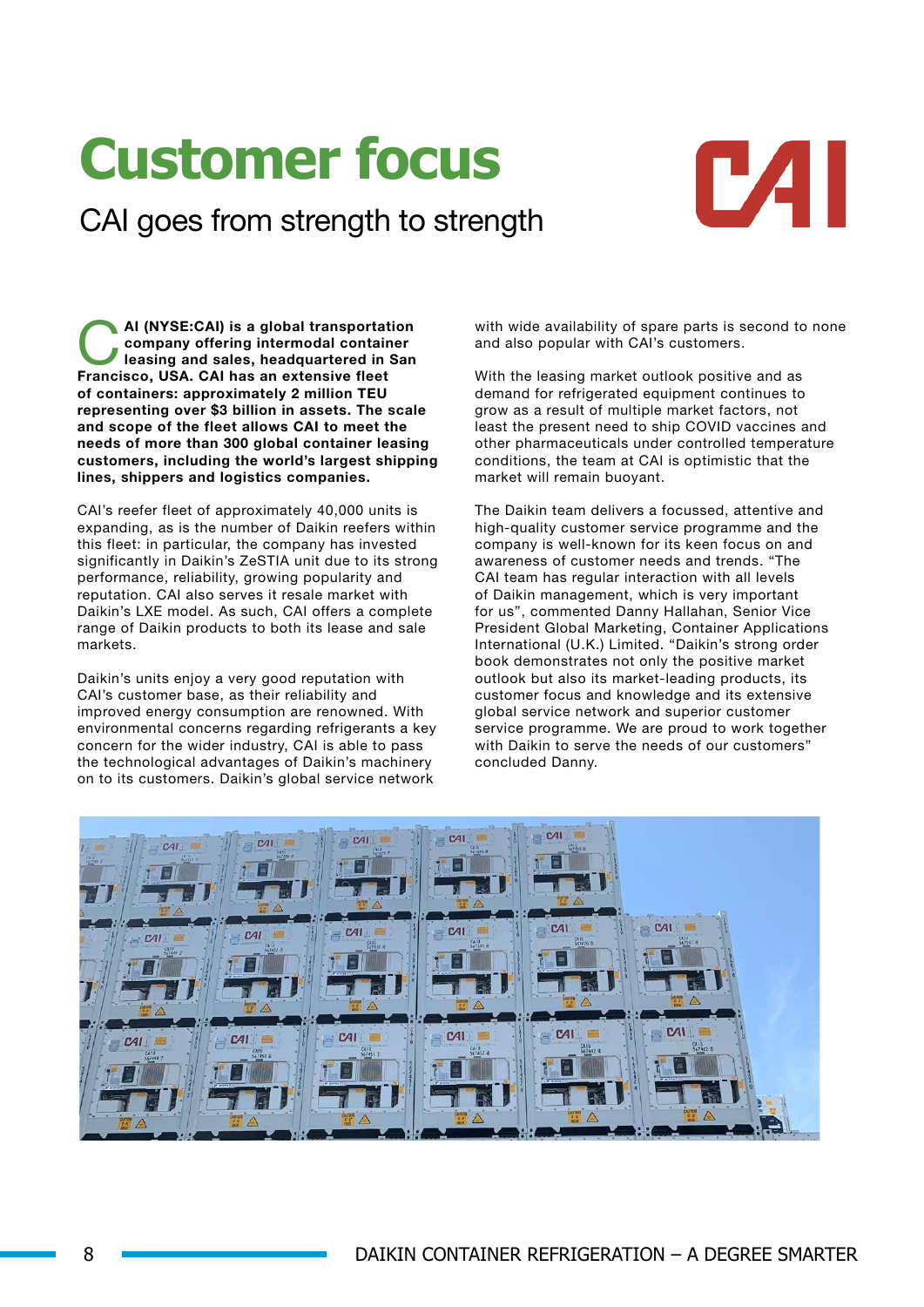# **Customer focus**

CAI goes from strength to strength



AI (NYSE:CAI) is a global transportation<br>
company offering intermodal container<br>
leasing and sales, headquartered in San company offering intermodal container Francisco, USA. CAI has an extensive fleet of containers: approximately 2 million TEU representing over \$3 billion in assets. The scale and scope of the fleet allows CAI to meet the needs of more than 300 global container leasing customers, including the world's largest shipping lines, shippers and logistics companies.

CAI's reefer fleet of approximately 40,000 units is expanding, as is the number of Daikin reefers within this fleet: in particular, the company has invested significantly in Daikin's ZeSTIA unit due to its strong performance, reliability, growing popularity and reputation. CAI also serves it resale market with Daikin's LXE model. As such, CAI offers a complete range of Daikin products to both its lease and sale markets.

Daikin's units enjoy a very good reputation with CAI's customer base, as their reliability and improved energy consumption are renowned. With environmental concerns regarding refrigerants a key concern for the wider industry, CAI is able to pass the technological advantages of Daikin's machinery on to its customers. Daikin's global service network

with wide availability of spare parts is second to none and also popular with CAI's customers.

With the leasing market outlook positive and as demand for refrigerated equipment continues to grow as a result of multiple market factors, not least the present need to ship COVID vaccines and other pharmaceuticals under controlled temperature conditions, the team at CAI is optimistic that the market will remain buoyant.

The Daikin team delivers a focussed, attentive and high-quality customer service programme and the company is well-known for its keen focus on and awareness of customer needs and trends. "The CAI team has regular interaction with all levels of Daikin management, which is very important for us", commented Danny Hallahan, Senior Vice President Global Marketing, Container Applications International (U.K.) Limited. "Daikin's strong order book demonstrates not only the positive market outlook but also its market-leading products, its customer focus and knowledge and its extensive global service network and superior customer service programme. We are proud to work together with Daikin to serve the needs of our customers" concluded Danny.

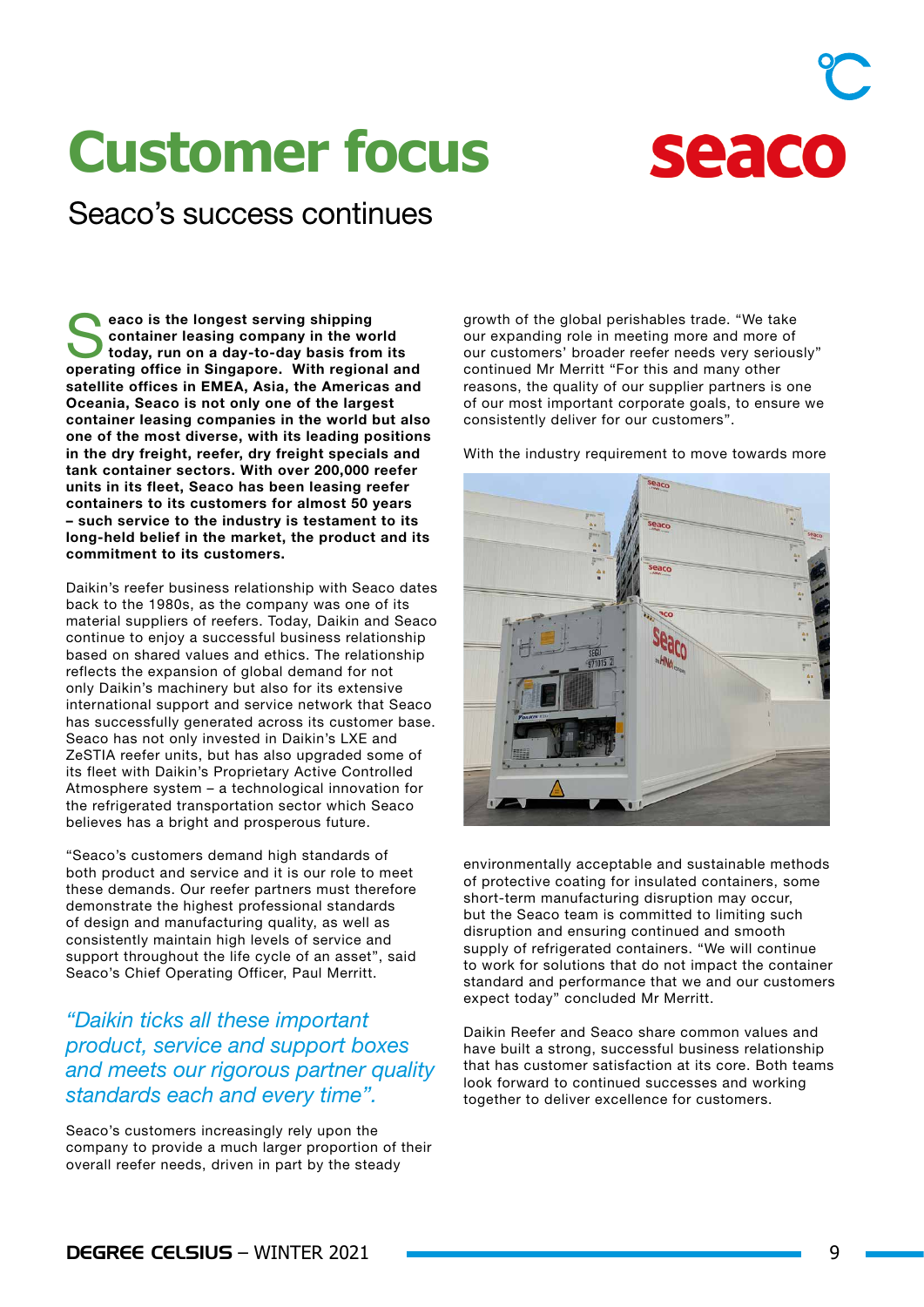# **Customer focus**



### Seaco's success continues

eaco is the longest serving shipping container leasing company in the world today, run on a day-to-day basis from its operating office in Singapore. With regional and satellite offices in EMEA, Asia, the Americas and Oceania, Seaco is not only one of the largest container leasing companies in the world but also one of the most diverse, with its leading positions in the dry freight, reefer, dry freight specials and tank container sectors. With over 200,000 reefer units in its fleet, Seaco has been leasing reefer containers to its customers for almost 50 years – such service to the industry is testament to its long-held belief in the market, the product and its commitment to its customers.

Daikin's reefer business relationship with Seaco dates back to the 1980s, as the company was one of its material suppliers of reefers. Today, Daikin and Seaco continue to enjoy a successful business relationship based on shared values and ethics. The relationship reflects the expansion of global demand for not only Daikin's machinery but also for its extensive international support and service network that Seaco has successfully generated across its customer base. Seaco has not only invested in Daikin's LXE and ZeSTIA reefer units, but has also upgraded some of its fleet with Daikin's Proprietary Active Controlled Atmosphere system – a technological innovation for the refrigerated transportation sector which Seaco believes has a bright and prosperous future.

"Seaco's customers demand high standards of both product and service and it is our role to meet these demands. Our reefer partners must therefore demonstrate the highest professional standards of design and manufacturing quality, as well as consistently maintain high levels of service and support throughout the life cycle of an asset", said Seaco's Chief Operating Officer, Paul Merritt.

### *"Daikin ticks all these important product, service and support boxes and meets our rigorous partner quality standards each and every time".*

Seaco's customers increasingly rely upon the company to provide a much larger proportion of their overall reefer needs, driven in part by the steady

growth of the global perishables trade. "We take our expanding role in meeting more and more of our customers' broader reefer needs very seriously" continued Mr Merritt "For this and many other reasons, the quality of our supplier partners is one of our most important corporate goals, to ensure we consistently deliver for our customers".

With the industry requirement to move towards more



environmentally acceptable and sustainable methods of protective coating for insulated containers, some short-term manufacturing disruption may occur, but the Seaco team is committed to limiting such disruption and ensuring continued and smooth supply of refrigerated containers. "We will continue to work for solutions that do not impact the container standard and performance that we and our customers expect today" concluded Mr Merritt.

Daikin Reefer and Seaco share common values and have built a strong, successful business relationship that has customer satisfaction at its core. Both teams look forward to continued successes and working together to deliver excellence for customers.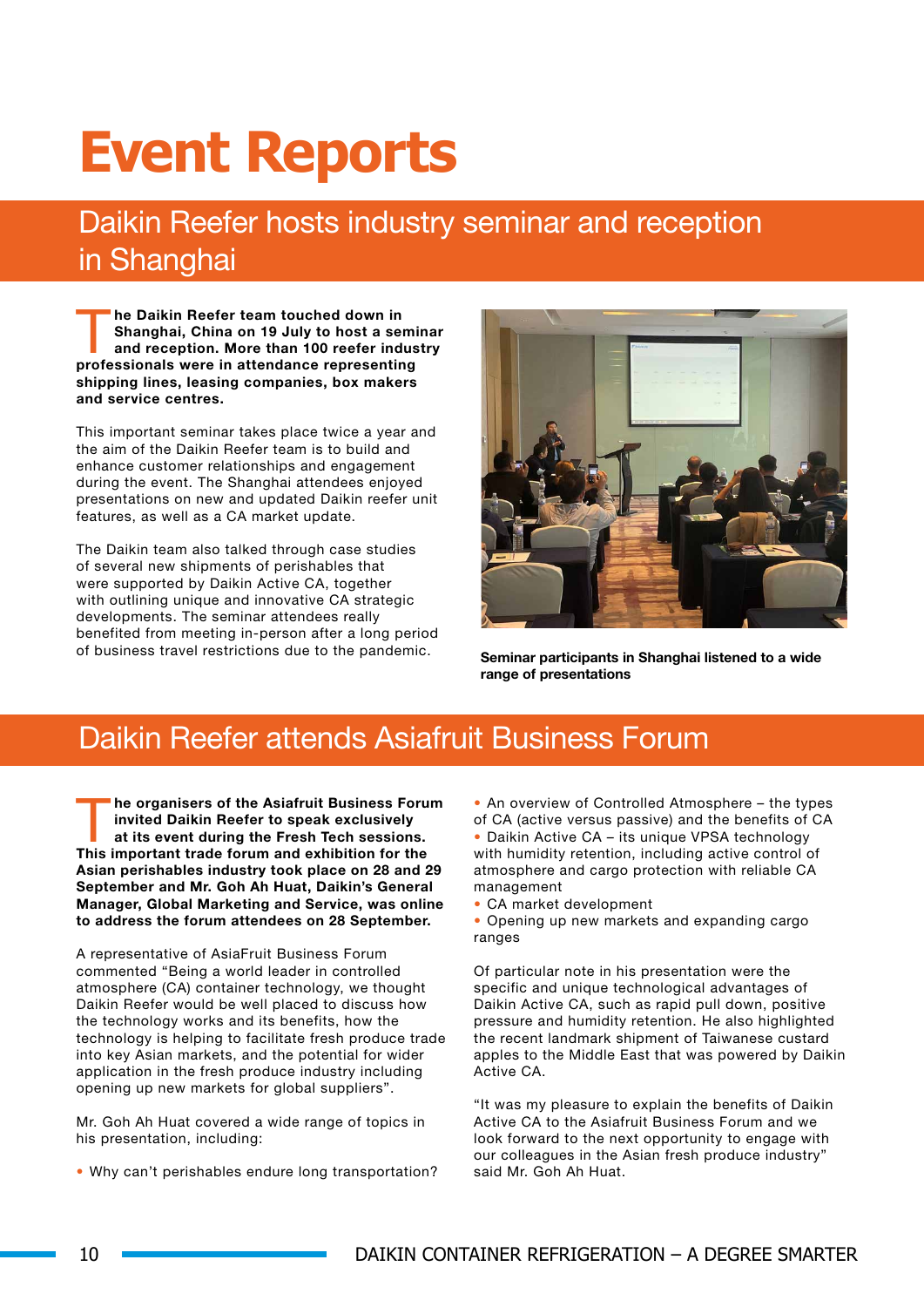# **Event Reports**

### Daikin Reefer hosts industry seminar and reception in Shanghai

The Daikin Reefer team touched down in<br>Shanghai, China on 19 July to host a set<br>and reception. More than 100 reefer independences in the state of the process of the process of the process of<br>the process of the state of the Shanghai, China on 19 July to host a seminar and reception. More than 100 reefer industry professionals were in attendance representing shipping lines, leasing companies, box makers and service centres.

This important seminar takes place twice a year and the aim of the Daikin Reefer team is to build and enhance customer relationships and engagement during the event. The Shanghai attendees enjoyed presentations on new and updated Daikin reefer unit features, as well as a CA market update.

The Daikin team also talked through case studies of several new shipments of perishables that were supported by Daikin Active CA, together with outlining unique and innovative CA strategic developments. The seminar attendees really benefited from meeting in-person after a long period of business travel restrictions due to the pandemic.



Seminar participants in Shanghai listened to a wide range of presentations

### Daikin Reefer attends Asiafruit Business Forum

he organisers of the Asiafruit Business Forum invited Daikin Reefer to speak exclusively at its event during the Fresh Tech sessions. This important trade forum and exhibition for the Asian perishables industry took place on 28 and 29 September and Mr. Goh Ah Huat, Daikin's General Manager, Global Marketing and Service, was online to address the forum attendees on 28 September.

A representative of AsiaFruit Business Forum commented "Being a world leader in controlled atmosphere (CA) container technology, we thought Daikin Reefer would be well placed to discuss how the technology works and its benefits, how the technology is helping to facilitate fresh produce trade into key Asian markets, and the potential for wider application in the fresh produce industry including opening up new markets for global suppliers".

Mr. Goh Ah Huat covered a wide range of topics in his presentation, including:

• Why can't perishables endure long transportation?

• An overview of Controlled Atmosphere – the types of CA (active versus passive) and the benefits of CA

• Daikin Active CA – its unique VPSA technology with humidity retention, including active control of atmosphere and cargo protection with reliable CA management

• CA market development

• Opening up new markets and expanding cargo ranges

Of particular note in his presentation were the specific and unique technological advantages of Daikin Active CA, such as rapid pull down, positive pressure and humidity retention. He also highlighted the recent landmark shipment of Taiwanese custard apples to the Middle East that was powered by Daikin Active CA.

"It was my pleasure to explain the benefits of Daikin Active CA to the Asiafruit Business Forum and we look forward to the next opportunity to engage with our colleagues in the Asian fresh produce industry" said Mr. Goh Ah Huat.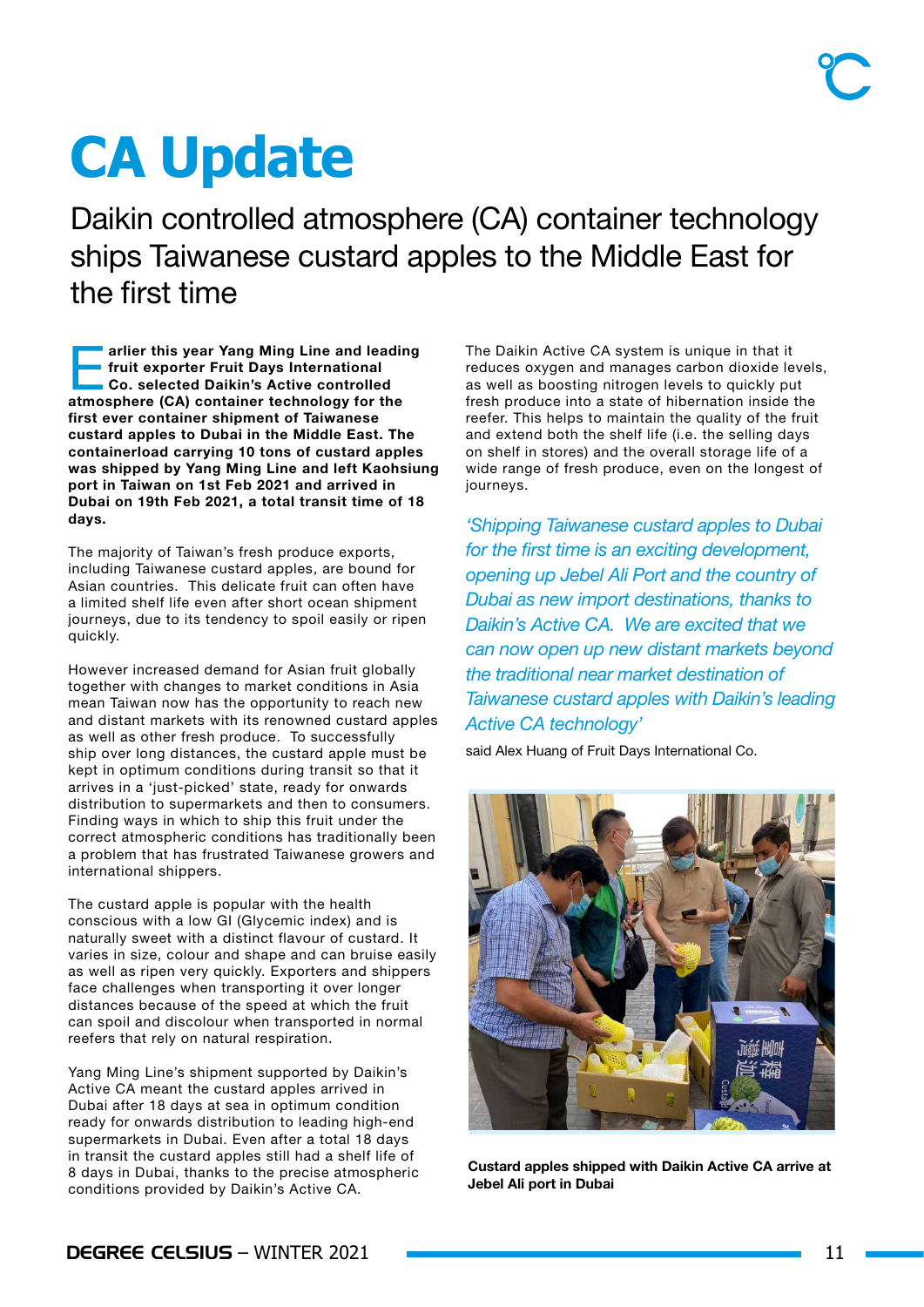# **CA Update**

Daikin controlled atmosphere (CA) container technology ships Taiwanese custard apples to the Middle East for the first time

arlier this year Yang Ming Line and leading fruit exporter Fruit Days International Co. selected Daikin's Active controlled atmosphere (CA) container technology for the first ever container shipment of Taiwanese custard apples to Dubai in the Middle East. The containerload carrying 10 tons of custard apples was shipped by Yang Ming Line and left Kaohsiung port in Taiwan on 1st Feb 2021 and arrived in Dubai on 19th Feb 2021, a total transit time of 18 days.

The majority of Taiwan's fresh produce exports, including Taiwanese custard apples, are bound for Asian countries. This delicate fruit can often have a limited shelf life even after short ocean shipment journeys, due to its tendency to spoil easily or ripen quickly.

However increased demand for Asian fruit globally together with changes to market conditions in Asia mean Taiwan now has the opportunity to reach new and distant markets with its renowned custard apples as well as other fresh produce. To successfully ship over long distances, the custard apple must be kept in optimum conditions during transit so that it arrives in a 'just-picked' state, ready for onwards distribution to supermarkets and then to consumers. Finding ways in which to ship this fruit under the correct atmospheric conditions has traditionally been a problem that has frustrated Taiwanese growers and international shippers.

The custard apple is popular with the health conscious with a low GI (Glycemic index) and is naturally sweet with a distinct flavour of custard. It varies in size, colour and shape and can bruise easily as well as ripen very quickly. Exporters and shippers face challenges when transporting it over longer distances because of the speed at which the fruit can spoil and discolour when transported in normal reefers that rely on natural respiration.

Yang Ming Line's shipment supported by Daikin's Active CA meant the custard apples arrived in Dubai after 18 days at sea in optimum condition ready for onwards distribution to leading high-end supermarkets in Dubai. Even after a total 18 days in transit the custard apples still had a shelf life of 8 days in Dubai, thanks to the precise atmospheric conditions provided by Daikin's Active CA.

The Daikin Active CA system is unique in that it reduces oxygen and manages carbon dioxide levels, as well as boosting nitrogen levels to quickly put fresh produce into a state of hibernation inside the reefer. This helps to maintain the quality of the fruit and extend both the shelf life (i.e. the selling days on shelf in stores) and the overall storage life of a wide range of fresh produce, even on the longest of journeys.

*'Shipping Taiwanese custard apples to Dubai for the first time is an exciting development, opening up Jebel Ali Port and the country of Dubai as new import destinations, thanks to Daikin's Active CA. We are excited that we can now open up new distant markets beyond the traditional near market destination of Taiwanese custard apples with Daikin's leading Active CA technology'*

said Alex Huang of Fruit Days International Co.



Custard apples shipped with Daikin Active CA arrive at Jebel Ali port in Dubai